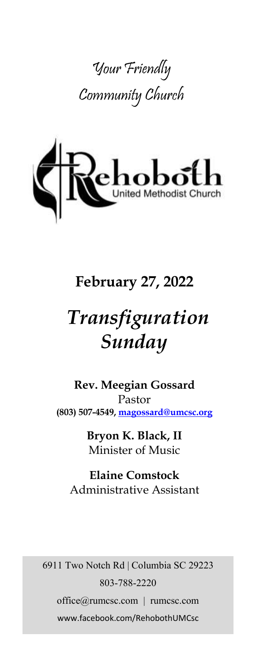



# **February 27, 2022**

# *Transfiguration Sunday*

**Rev. Meegian Gossard** Pastor **(803) 507-4549, magossard@umcsc.org**

> **Bryon K. Black, II** Minister of Music

**Elaine Comstock** Administrative Assistant

6911 Two Notch Rd | Columbia SC 29223 803-788-2220 office@rumcsc.com | rumcsc.com www.facebook.com/RehobothUMCsc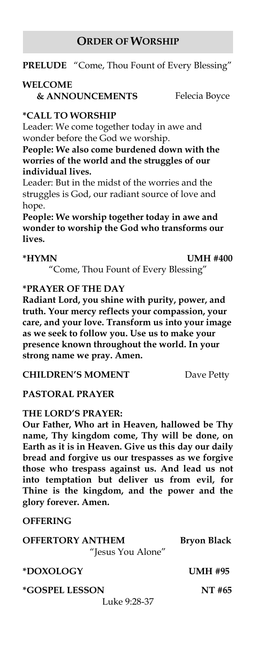#### **ORDER OF WORSHIP**

**PRELUDE** "Come, Thou Fount of Every Blessing"

#### **WELCOME**

**& ANNOUNCEMENTS** Felecia Boyce

#### **\*CALL TO WORSHIP**

Leader: We come together today in awe and wonder before the God we worship.

**People: We also come burdened down with the worries of the world and the struggles of our individual lives.**

Leader: But in the midst of the worries and the struggles is God, our radiant source of love and hope.

**People: We worship together today in awe and wonder to worship the God who transforms our lives.**

**\*HYMN UMH #400**

"Come, Thou Fount of Every Blessing"

#### **\*PRAYER OF THE DAY**

**Radiant Lord, you shine with purity, power, and truth. Your mercy reflects your compassion, your care, and your love. Transform us into your image as we seek to follow you. Use us to make your presence known throughout the world. In your strong name we pray. Amen.**

**CHILDREN'S MOMENT** Dave Petty

#### **PASTORAL PRAYER**

#### **THE LORD'S PRAYER:**

**Our Father, Who art in Heaven, hallowed be Thy name, Thy kingdom come, Thy will be done, on Earth as it is in Heaven. Give us this day our daily bread and forgive us our trespasses as we forgive those who trespass against us. And lead us not into temptation but deliver us from evil, for Thine is the kingdom, and the power and the glory forever. Amen.** 

#### **OFFERING**

| <b>OFFERTORY ANTHEM</b> | <b>Bryon Black</b> |
|-------------------------|--------------------|
| "Jesus You Alone"       |                    |
| *DOXOLOGY               | <b>UMH #95</b>     |
| <i>*GOSPEL LESSON</i>   | NT #65             |
| Luke 9:28-37            |                    |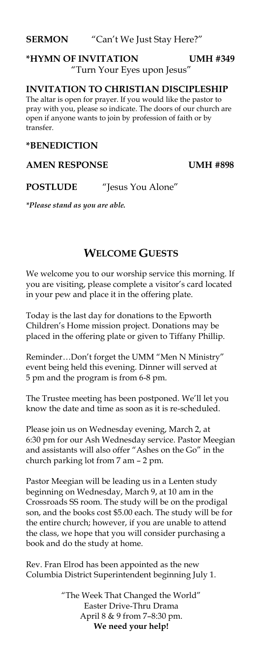**SERMON** "Can't We Just Stay Here?"

### **\*HYMN OF INVITATION UMH #349** "Turn Your Eyes upon Jesus"

#### **INVITATION TO CHRISTIAN DISCIPLESHIP**

The altar is open for prayer. If you would like the pastor to pray with you, please so indicate. The doors of our church are open if anyone wants to join by profession of faith or by transfer.

#### **\*BENEDICTION**

#### **AMEN RESPONSE UMH #898**

**POSTLUDE** "Jesus You Alone"

*\*Please stand as you are able.*

#### **WELCOME GUESTS**

We welcome you to our worship service this morning. If you are visiting, please complete a visitor's card located in your pew and place it in the offering plate.

Today is the last day for donations to the Epworth Children's Home mission project. Donations may be placed in the offering plate or given to Tiffany Phillip.

Reminder…Don't forget the UMM "Men N Ministry" event being held this evening. Dinner will served at 5 pm and the program is from 6-8 pm.

The Trustee meeting has been postponed. We'll let you know the date and time as soon as it is re-scheduled.

Please join us on Wednesday evening, March 2, at 6:30 pm for our Ash Wednesday service. Pastor Meegian and assistants will also offer "Ashes on the Go" in the church parking lot from 7 am – 2 pm.

Pastor Meegian will be leading us in a Lenten study beginning on Wednesday, March 9, at 10 am in the Crossroads SS room. The study will be on the prodigal son, and the books cost \$5.00 each. The study will be for the entire church; however, if you are unable to attend the class, we hope that you will consider purchasing a book and do the study at home.

Rev. Fran Elrod has been appointed as the new Columbia District Superintendent beginning July 1.

> "The Week That Changed the World" Easter Drive-Thru Drama April 8 & 9 from 7–8:30 pm. **We need your help!**